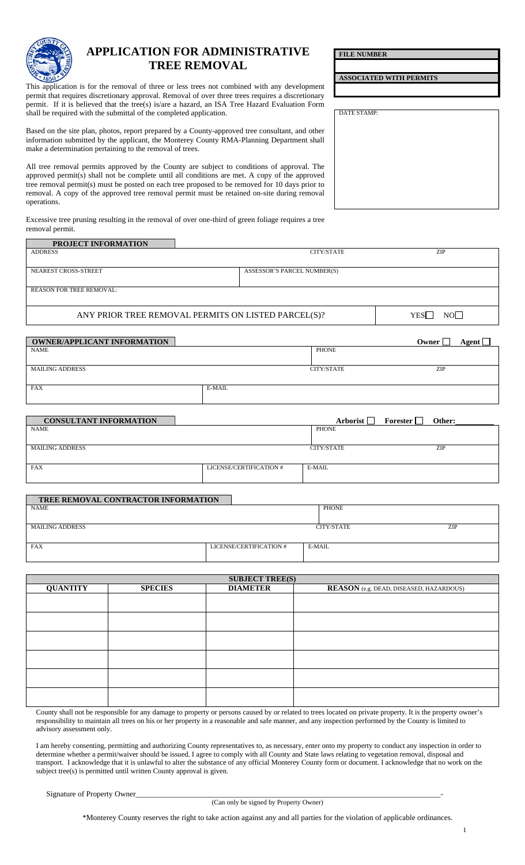

## **APPLICATION FOR ADMINISTRATIVE TREE REMOVAL**

permit. If it is believed that the tree(s) is/are a hazard, an ISA Tree Hazard Evaluation Form<br>shall be required with the submittal of the completed application. This application is for the removal of three or less trees not combined with any development permit that requires discretionary approval. Removal of over three trees requires a discretionary shall be required with the submittal of the completed application.

Based on the site plan, photos, report prepared by a County-approved tree consultant, and other information submitted by the applicant, the Monterey County RMA-Planning Department shall make a determination pertaining to the removal of trees.

All tree removal permits approved by the County are subject to conditions of approval. The approved permit(s) shall not be complete until all conditions are met. A copy of the approved tree removal permit(s) must be posted on each tree proposed to be removed for 10 days prior to removal. A copy of the approved tree removal permit must be retained on-site during removal operations.

 Excessive tree pruning resulting in the removal of over one-third of green foliage requires a tree  removal permit.

## **PROJECT INFORMATION**

| <b>ADDRESS</b>                  | CITY/STATE                  | ZIP |
|---------------------------------|-----------------------------|-----|
|                                 |                             |     |
| NEAREST CROSS-STREET            | ASSESSOR'S PARCEL NUMBER(S) |     |
|                                 |                             |     |
| <b>REASON FOR TREE REMOVAL:</b> |                             |     |

ANY PRIOR TREE REMOVAL PERMITS ON LISTED PARCEL(S)?  $YES \Box NO \Box$ 

| <b>OWNER/APPLICANT INFORMATION</b> |        |                   | Agent $\lfloor$<br>Owner  |
|------------------------------------|--------|-------------------|---------------------------|
| <b>NAME</b>                        |        | PHONE             |                           |
|                                    |        |                   |                           |
| <b>MAILING ADDRESS</b>             |        | <b>CITY/STATE</b> | <b>ZIP</b>                |
|                                    |        |                   |                           |
| <b>FAX</b>                         | E-MAIL |                   |                           |
|                                    |        |                   |                           |
|                                    |        |                   |                           |
| <b>CONSULTANT INFORMATION</b>      |        | Arborist $\Box$   | Forester $\Box$<br>Other: |
| <b>NAME</b>                        |        | <b>PHONE</b>      |                           |

| 1373.011               |                         | - 1 1 1 U 1 V 1 L |     |
|------------------------|-------------------------|-------------------|-----|
| <b>MAILING ADDRESS</b> |                         | CITY/STATE        | ZIP |
| <b>FAX</b>             | LICENSE/CERTIFICATION # | E-MAIL            |     |

| <b>TREE REMOVAL CONTRACTOR INFORMATION</b> |                         |            |     |
|--------------------------------------------|-------------------------|------------|-----|
| <b>NAME</b>                                |                         | PHONE      |     |
|                                            |                         |            |     |
| <b>MAILING ADDRESS</b>                     |                         | CITY/STATE | ZIP |
|                                            |                         |            |     |
| <b>FAX</b>                                 | LICENSE/CERTIFICATION # | E-MAIL     |     |
|                                            |                         |            |     |

| <b>SUBJECT TREE(S)</b> |                |                 |                                                |  |  |
|------------------------|----------------|-----------------|------------------------------------------------|--|--|
| <b>QUANTITY</b>        | <b>SPECIES</b> | <b>DIAMETER</b> | <b>REASON</b> (e.g. DEAD, DISEASED, HAZARDOUS) |  |  |
|                        |                |                 |                                                |  |  |
|                        |                |                 |                                                |  |  |
|                        |                |                 |                                                |  |  |
|                        |                |                 |                                                |  |  |
|                        |                |                 |                                                |  |  |
|                        |                |                 |                                                |  |  |

County shall not be responsible for any damage to property or persons caused by or related to trees located on private property. It is the property owner's responsibility to maintain all trees on his or her property in a reasonable and safe manner, and any inspection performed by the County is limited to advisory assessment only.

I am hereby consenting, permitting and authorizing County representatives to, as necessary, enter onto my property to conduct any inspection in order to determine whether a permit/waiver should be issued. I agree to comply with all County and State laws relating to vegetation removal, disposal and transport. I acknowledge that it is unlawful to alter the substance of any official Monterey County form or document. I acknowledge that no work on the subject tree(s) is permitted until written County approval is given.

Signature of Property Owner\_

(Can only be signed by Property Owner)

\*Monterey County reserves the right to take action against any and all parties for the violation of applicable ordinances.

1

**ASSOCIATED WITH PERMITS** 

**FILE NUMBER**